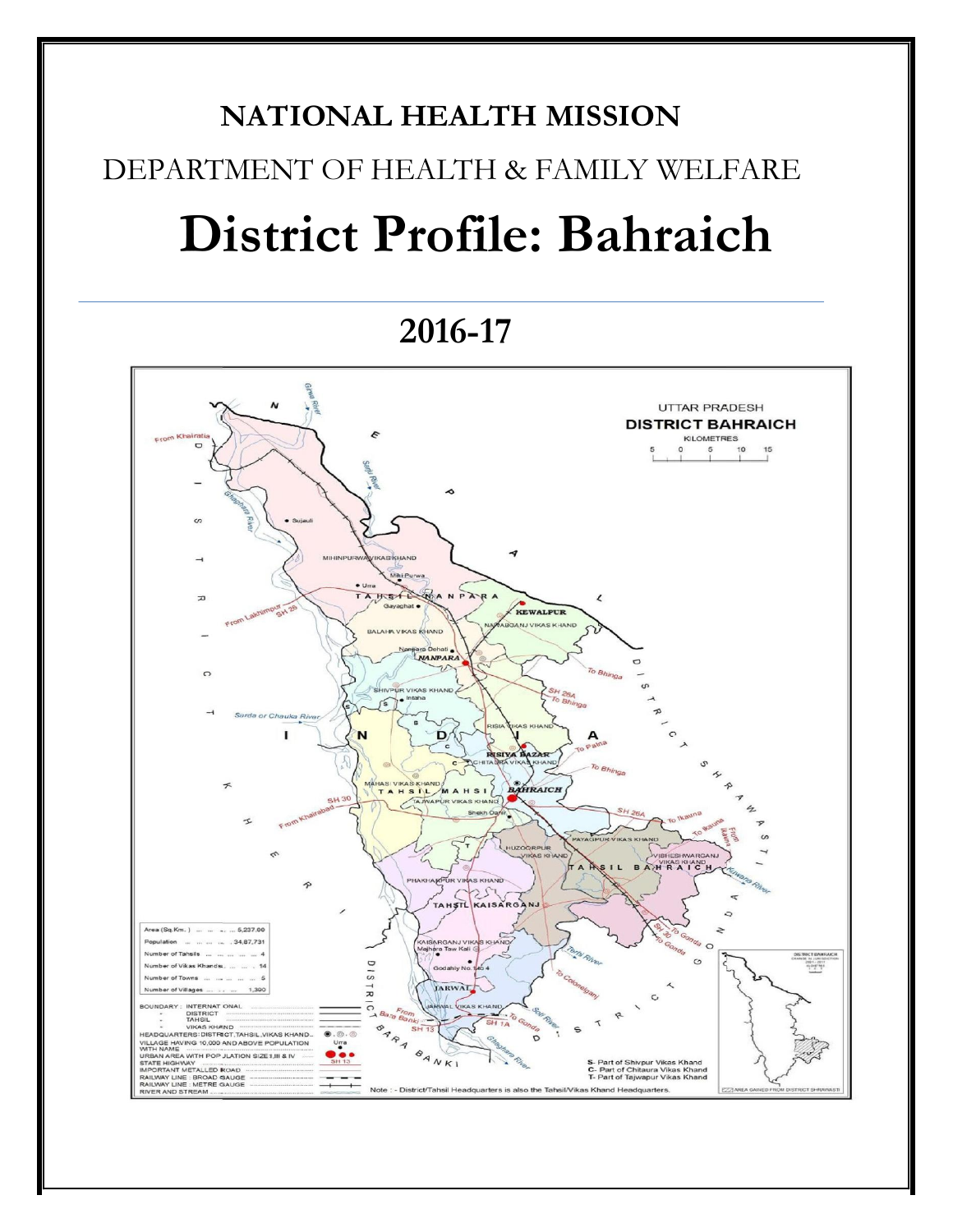# **NATIONAL HEALTH MISSION** DEPARTMENT OF HEALTH & FAMILY WELFARE **District Profile: Bahraich**

## **2016-17**

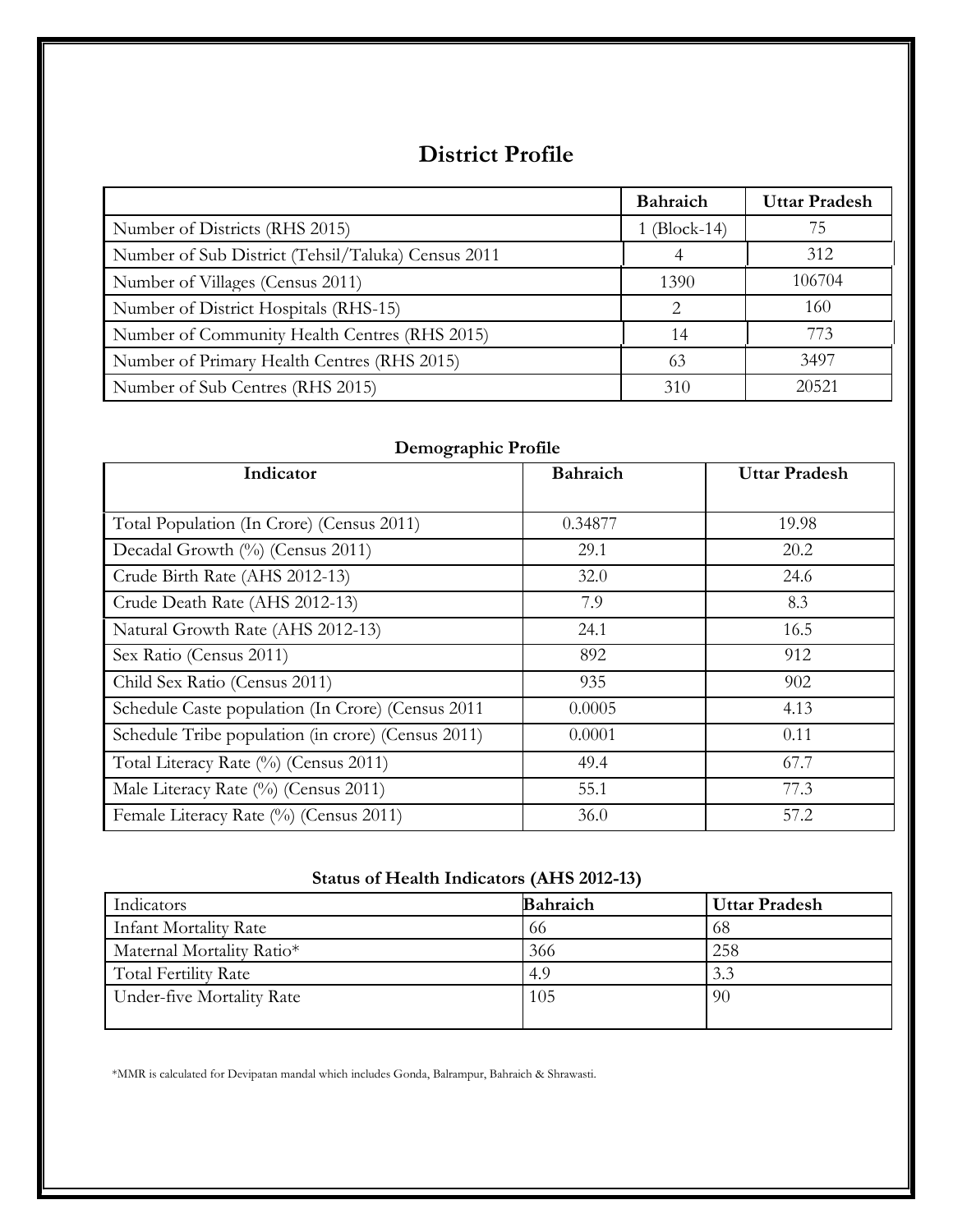#### **District Profile**

|                                                    | Bahraich     | <b>Uttar Pradesh</b> |
|----------------------------------------------------|--------------|----------------------|
| Number of Districts (RHS 2015)                     | 1 (Block-14) | 75                   |
| Number of Sub District (Tehsil/Taluka) Census 2011 |              | 312                  |
| Number of Villages (Census 2011)                   | 1390         | 106704               |
| Number of District Hospitals (RHS-15)              |              | 160                  |
| Number of Community Health Centres (RHS 2015)      | 14           | 773                  |
| Number of Primary Health Centres (RHS 2015)        | 63           | 3497                 |
| Number of Sub Centres (RHS 2015)                   | 310          | 20521                |

#### **Demographic Profile**

| Indicator                                          | <b>Bahraich</b> | <b>Uttar Pradesh</b> |
|----------------------------------------------------|-----------------|----------------------|
|                                                    |                 |                      |
| Total Population (In Crore) (Census 2011)          | 0.34877         | 19.98                |
| Decadal Growth (%) (Census 2011)                   | 29.1            | 20.2                 |
| Crude Birth Rate (AHS 2012-13)                     | 32.0            | 24.6                 |
| Crude Death Rate (AHS 2012-13)                     | 7.9             | 8.3                  |
| Natural Growth Rate (AHS 2012-13)                  | 24.1            | 16.5                 |
| Sex Ratio (Census 2011)                            | 892             | 912                  |
| Child Sex Ratio (Census 2011)                      | 935             | 902                  |
| Schedule Caste population (In Crore) (Census 2011  | 0.0005          | 4.13                 |
| Schedule Tribe population (in crore) (Census 2011) | 0.0001          | 0.11                 |
| Total Literacy Rate (%) (Census 2011)              | 49.4            | 67.7                 |
| Male Literacy Rate (%) (Census 2011)               | 55.1            | 77.3                 |
| Female Literacy Rate (%) (Census 2011)             | 36.0            | 57.2                 |

#### **Status of Health Indicators (AHS 2012-13)**

| Indicators                | <b>Bahraich</b> | <b>Uttar Pradesh</b> |
|---------------------------|-----------------|----------------------|
| Infant Mortality Rate     | -66             | -68                  |
| Maternal Mortality Ratio* | 366             | 258                  |
| Total Fertility Rate      | 4.9             | 3.3                  |
| Under-five Mortality Rate | 105             | -90                  |

\*MMR is calculated for Devipatan mandal which includes Gonda, Balrampur, Bahraich & Shrawasti.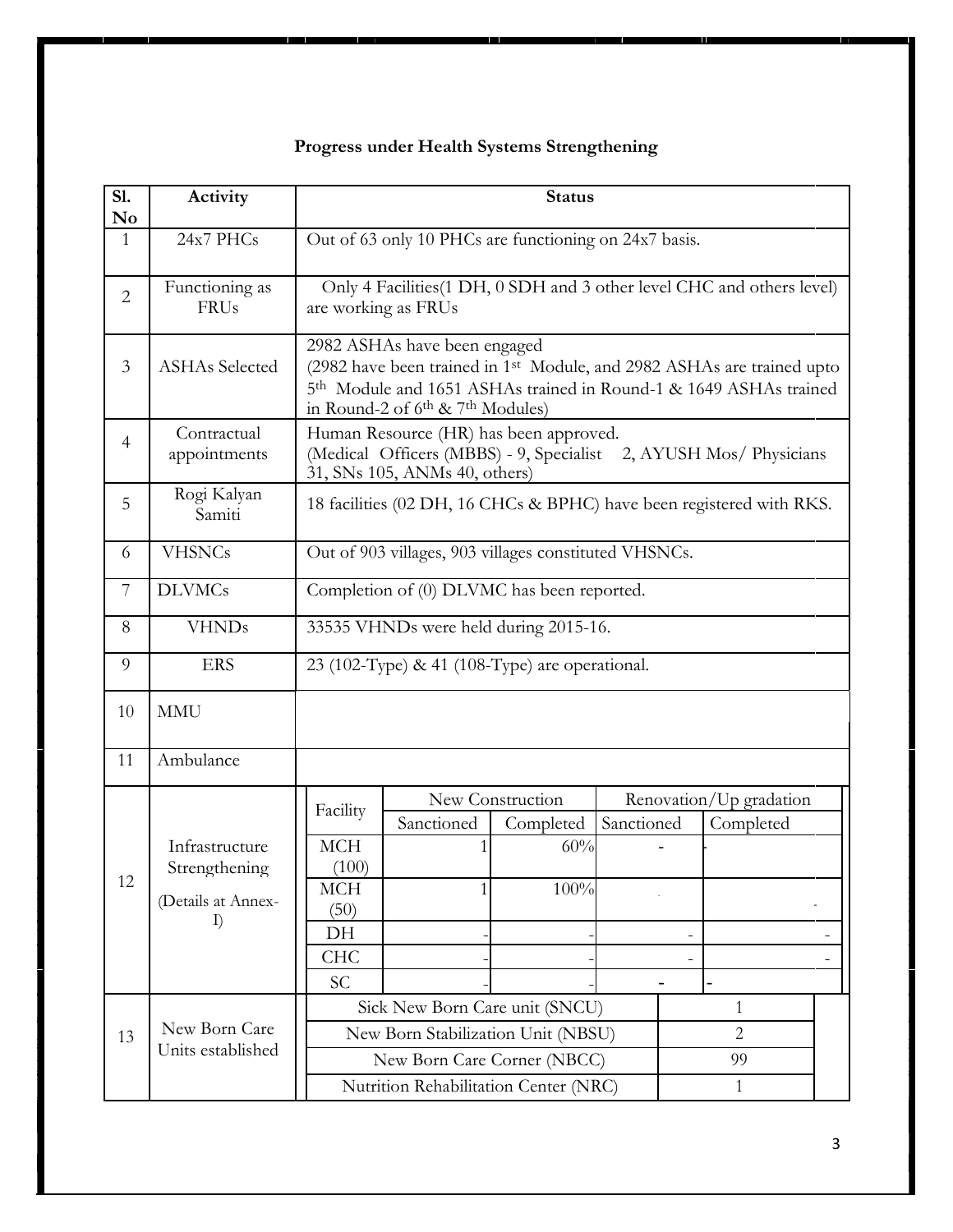#### **Progress under Health Systems Strengthening**

| SI.<br>$\mathbf{N}\mathbf{o}$ | Activity                                                          | <b>Status</b>                                                                                                                                                                                                       |                                                                                               |                          |            |  |                                                                      |  |
|-------------------------------|-------------------------------------------------------------------|---------------------------------------------------------------------------------------------------------------------------------------------------------------------------------------------------------------------|-----------------------------------------------------------------------------------------------|--------------------------|------------|--|----------------------------------------------------------------------|--|
| $\mathbf{1}$                  | 24x7 PHCs                                                         | Out of 63 only 10 PHCs are functioning on 24x7 basis.                                                                                                                                                               |                                                                                               |                          |            |  |                                                                      |  |
| $\overline{2}$                | Functioning as<br><b>FRUs</b>                                     |                                                                                                                                                                                                                     | Only 4 Facilities (1 DH, 0 SDH and 3 other level CHC and others level)<br>are working as FRUs |                          |            |  |                                                                      |  |
| $\overline{3}$                | <b>ASHAs Selected</b>                                             | 2982 ASHAs have been engaged<br>(2982 have been trained in 1st Module, and 2982 ASHAs are trained upto<br>5th Module and 1651 ASHAs trained in Round-1 & 1649 ASHAs trained<br>in Round-2 of $6th$ & $7th$ Modules) |                                                                                               |                          |            |  |                                                                      |  |
| $\overline{4}$                | Contractual<br>appointments                                       |                                                                                                                                                                                                                     | Human Resource (HR) has been approved.<br>31, SNs 105, ANMs 40, others)                       |                          |            |  | (Medical Officers (MBBS) - 9, Specialist 2, AYUSH Mos/ Physicians    |  |
| 5                             | Rogi Kalyan<br>Samiti                                             |                                                                                                                                                                                                                     |                                                                                               |                          |            |  | 18 facilities (02 DH, 16 CHCs & BPHC) have been registered with RKS. |  |
| 6                             | <b>VHSNCs</b>                                                     | Out of 903 villages, 903 villages constituted VHSNCs.                                                                                                                                                               |                                                                                               |                          |            |  |                                                                      |  |
| 7                             | <b>DLVMCs</b>                                                     | Completion of (0) DLVMC has been reported.                                                                                                                                                                          |                                                                                               |                          |            |  |                                                                      |  |
| 8                             | <b>VHNDs</b>                                                      | 33535 VHNDs were held during 2015-16.                                                                                                                                                                               |                                                                                               |                          |            |  |                                                                      |  |
| 9                             | <b>ERS</b>                                                        | 23 (102-Type) & 41 (108-Type) are operational.                                                                                                                                                                      |                                                                                               |                          |            |  |                                                                      |  |
| 10                            | <b>MMU</b>                                                        |                                                                                                                                                                                                                     |                                                                                               |                          |            |  |                                                                      |  |
| 11                            | Ambulance                                                         |                                                                                                                                                                                                                     |                                                                                               |                          |            |  |                                                                      |  |
|                               |                                                                   | Facility                                                                                                                                                                                                            |                                                                                               | New Construction         |            |  | Renovation/Up gradation                                              |  |
| 12                            | Infrastructure<br>Strengthening<br>(Details at Annex-<br>$\Gamma$ | <b>MCH</b><br>(100)<br><b>MCH</b><br>(50)<br>DH                                                                                                                                                                     | Sanctioned                                                                                    | Completed<br>60%<br>100% | Sanctioned |  | Completed                                                            |  |
|                               |                                                                   | <b>CHC</b><br>SC                                                                                                                                                                                                    |                                                                                               |                          |            |  |                                                                      |  |
|                               |                                                                   |                                                                                                                                                                                                                     | Sick New Born Care unit (SNCU)                                                                |                          |            |  | 1                                                                    |  |
| 13                            | New Born Care<br>Units established                                |                                                                                                                                                                                                                     | New Born Stabilization Unit (NBSU)                                                            |                          |            |  | $\overline{2}$                                                       |  |
|                               |                                                                   | New Born Care Corner (NBCC)<br>99                                                                                                                                                                                   |                                                                                               |                          |            |  |                                                                      |  |
|                               |                                                                   | Nutrition Rehabilitation Center (NRC)<br>$\mathbf{1}$                                                                                                                                                               |                                                                                               |                          |            |  |                                                                      |  |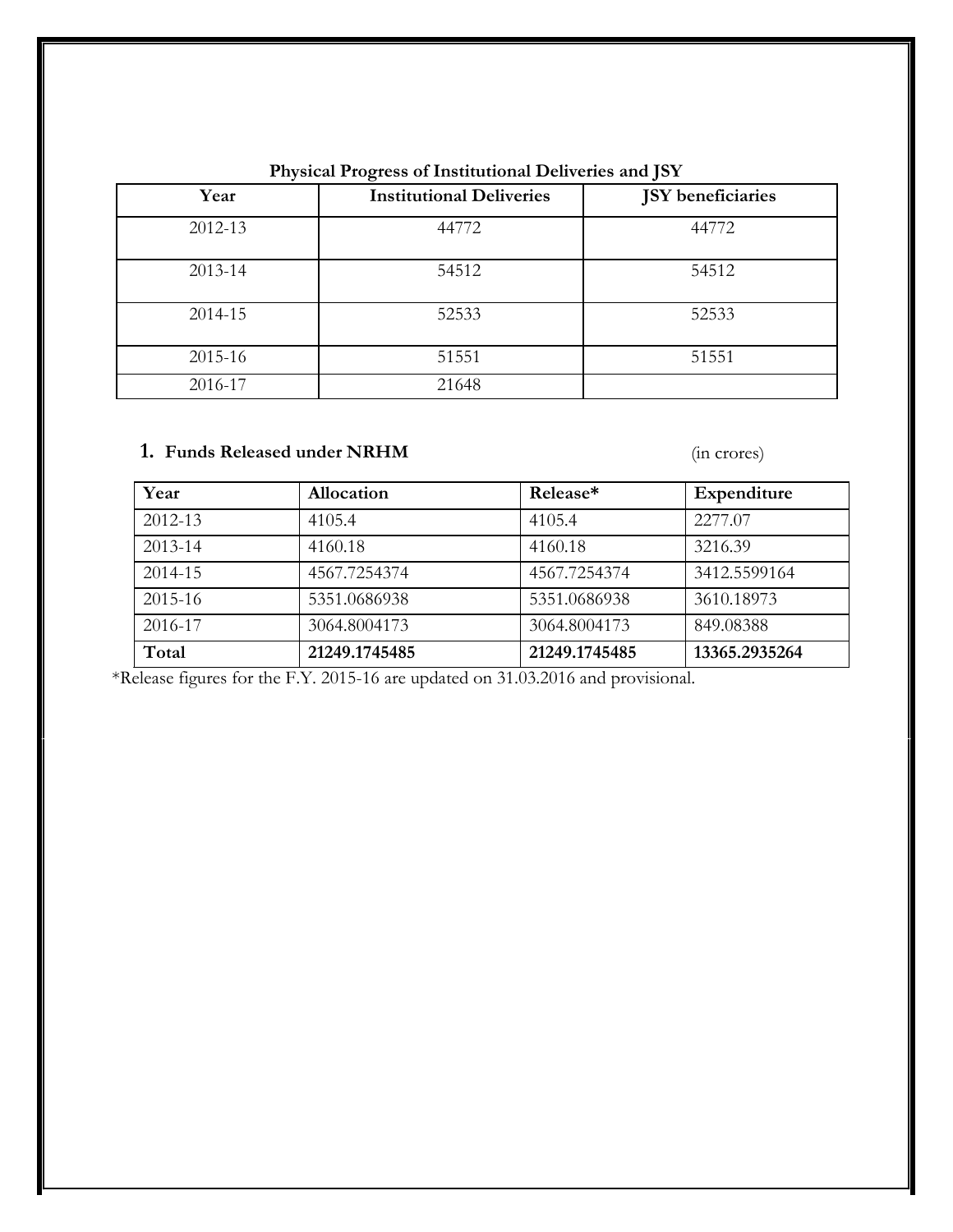|         | ັ                               | $\bm{\nu}$               |
|---------|---------------------------------|--------------------------|
| Year    | <b>Institutional Deliveries</b> | <b>JSY</b> beneficiaries |
| 2012-13 | 44772                           | 44772                    |
| 2013-14 | 54512                           | 54512                    |
| 2014-15 | 52533                           | 52533                    |
| 2015-16 | 51551                           | 51551                    |
| 2016-17 | 21648                           |                          |

#### **Physical Progress of Institutional Deliveries and JSY**

#### **1. Funds Released under NRHM** (in crores)

| Year        | Allocation    | Release*      | Expenditure   |
|-------------|---------------|---------------|---------------|
| 2012-13     | 4105.4        | 4105.4        | 2277.07       |
| 2013-14     | 4160.18       | 4160.18       | 3216.39       |
| 2014-15     | 4567.7254374  | 4567.7254374  | 3412.5599164  |
| $2015 - 16$ | 5351.0686938  | 5351.0686938  | 3610.18973    |
| 2016-17     | 3064.8004173  | 3064.8004173  | 849.08388     |
| Total       | 21249.1745485 | 21249.1745485 | 13365.2935264 |

\*Release figures for the F.Y. 2015-16 are updated on 31.03.2016 and provisional.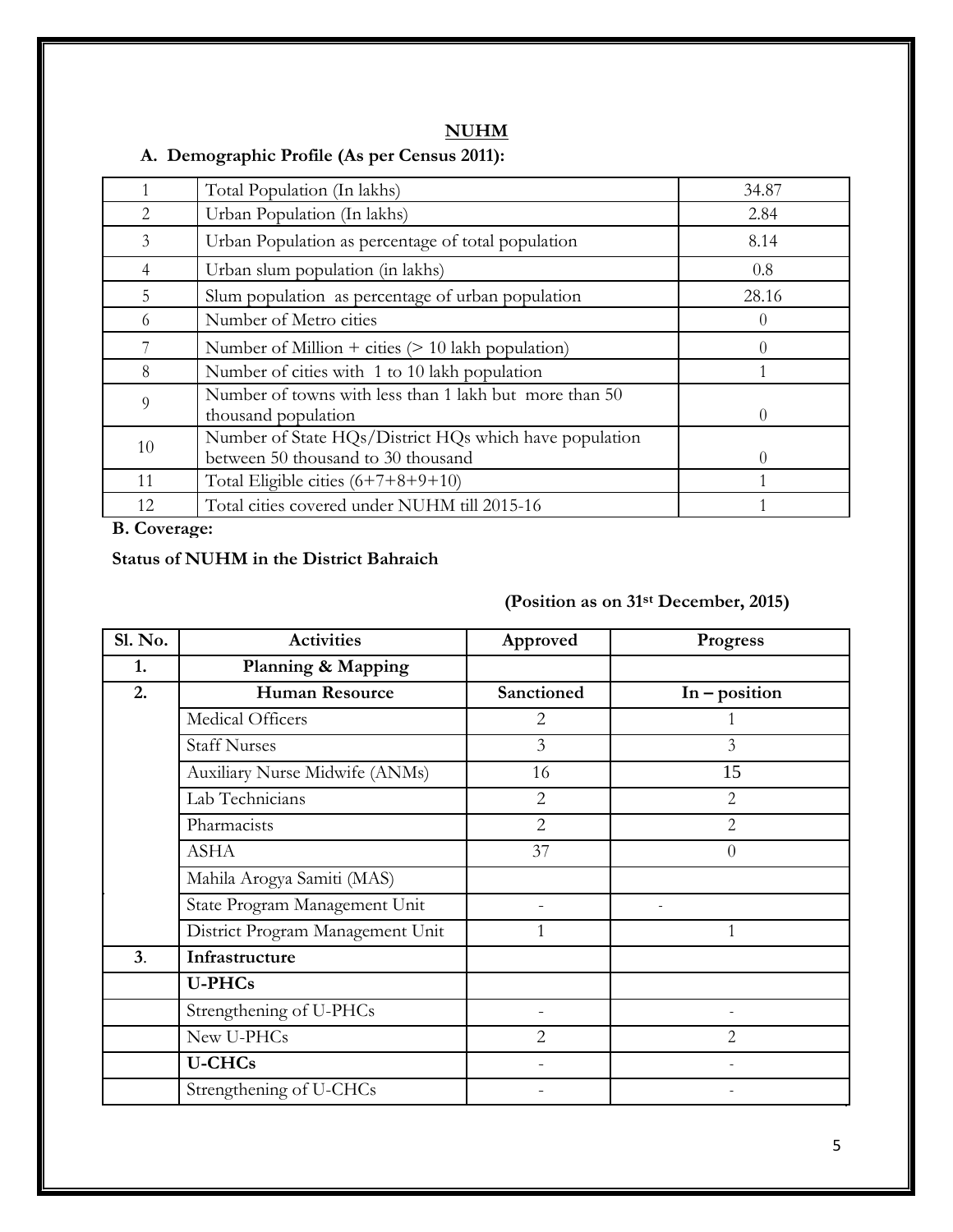#### **A. Demographic Profile (As per Census 2011):**

|                | Total Population (In lakhs)                                                                  | 34.87            |
|----------------|----------------------------------------------------------------------------------------------|------------------|
| $\mathfrak{D}$ | Urban Population (In lakhs)                                                                  | 2.84             |
| 3              | Urban Population as percentage of total population                                           | 8.14             |
| 4              | Urban slum population (in lakhs)                                                             | 0.8              |
| 5              | Slum population as percentage of urban population                                            | 28.16            |
| 6              | Number of Metro cities                                                                       | $\theta$         |
|                | Number of Million + cities $(> 10$ lakh population)                                          | $\left( \right)$ |
| 8              | Number of cities with 1 to 10 lakh population                                                |                  |
| 9              | Number of towns with less than 1 lakh but more than 50<br>thousand population                | $\theta$         |
| 10             | Number of State HQs/District HQs which have population<br>between 50 thousand to 30 thousand | $\theta$         |
| 11             | Total Eligible cities $(6+7+8+9+10)$                                                         |                  |
| 12             | Total cities covered under NUHM till 2015-16                                                 |                  |

**B. Coverage:**

#### **Status of NUHM in the District Bahraich**

### **(Position as on 31st December, 2015)**

| Sl. No. | <b>Activities</b>                | Approved       | Progress        |
|---------|----------------------------------|----------------|-----------------|
| 1.      | Planning & Mapping               |                |                 |
| 2.      | <b>Human Resource</b>            | Sanctioned     | $In - position$ |
|         | Medical Officers                 | $\overline{2}$ |                 |
|         | <b>Staff Nurses</b>              | 3              | $\overline{3}$  |
|         | Auxiliary Nurse Midwife (ANMs)   | 16             | 15              |
|         | Lab Technicians                  | $\overline{2}$ | $\overline{2}$  |
|         | Pharmacists                      | $\overline{2}$ | 2               |
|         | <b>ASHA</b>                      | 37             | $\theta$        |
|         | Mahila Arogya Samiti (MAS)       |                |                 |
|         | State Program Management Unit    |                |                 |
|         | District Program Management Unit | 1              |                 |
| 3.      | Infrastructure                   |                |                 |
|         | <b>U-PHCs</b>                    |                |                 |
|         | Strengthening of U-PHCs          |                |                 |
|         | New U-PHCs                       | $\overline{2}$ | $\overline{2}$  |
|         | <b>U-CHCs</b>                    |                |                 |
|         | Strengthening of U-CHCs          |                |                 |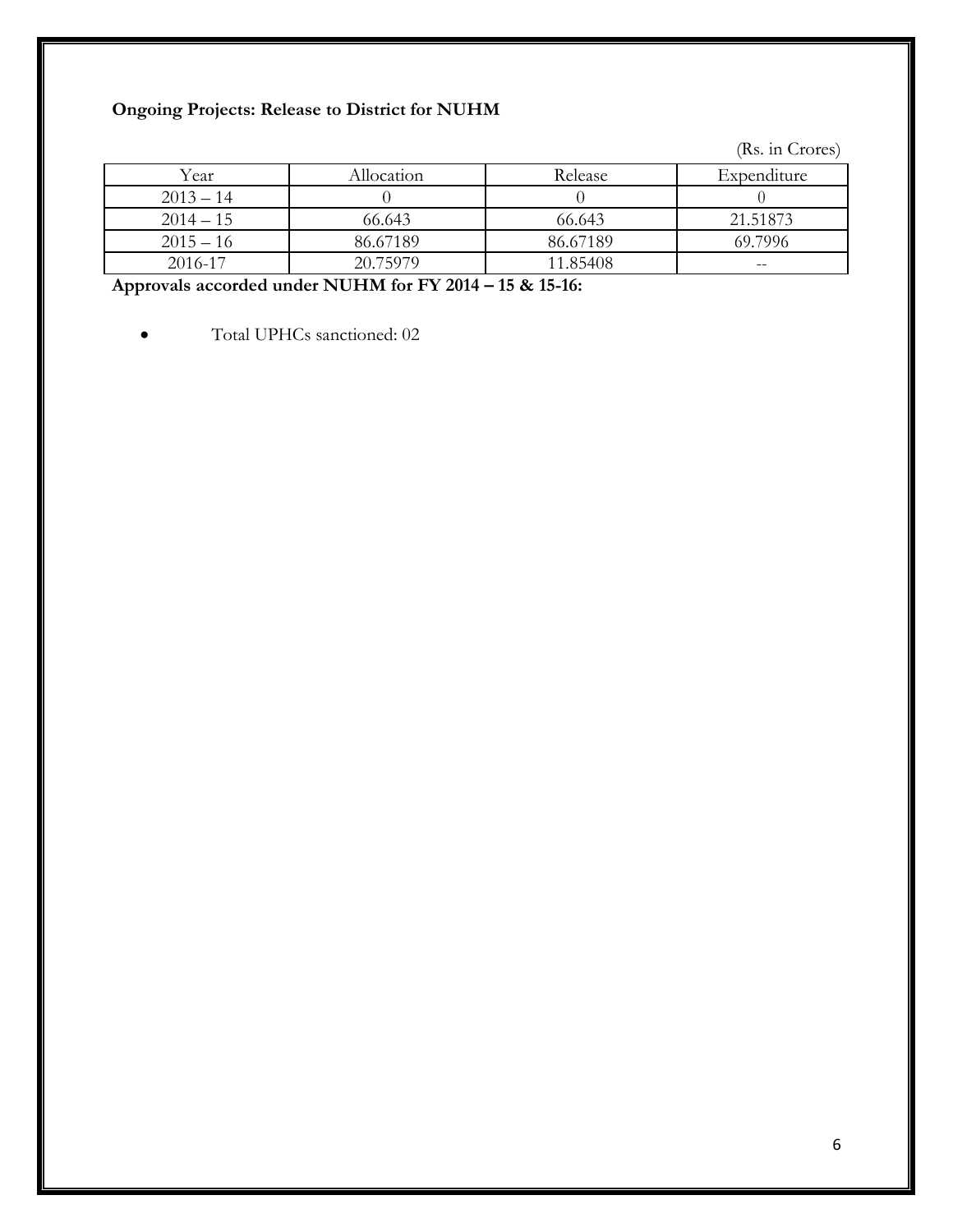#### **Ongoing Projects: Release to District for NUHM**

(Rs. in Crores)

| Year        | Allocation | Release  | Expenditure              |
|-------------|------------|----------|--------------------------|
| $2013 - 14$ |            |          |                          |
| $2014 - 15$ | 66.643     | 66.643   | 21.51873                 |
| $2015 - 16$ | 86.67189   | 86.67189 | 69.7996                  |
| 2016-17     | 20.75979   | 11.85408 | $\overline{\phantom{m}}$ |

**Approvals accorded under NUHM for FY 2014 – 15 & 15-16:**

Total UPHCs sanctioned: 02